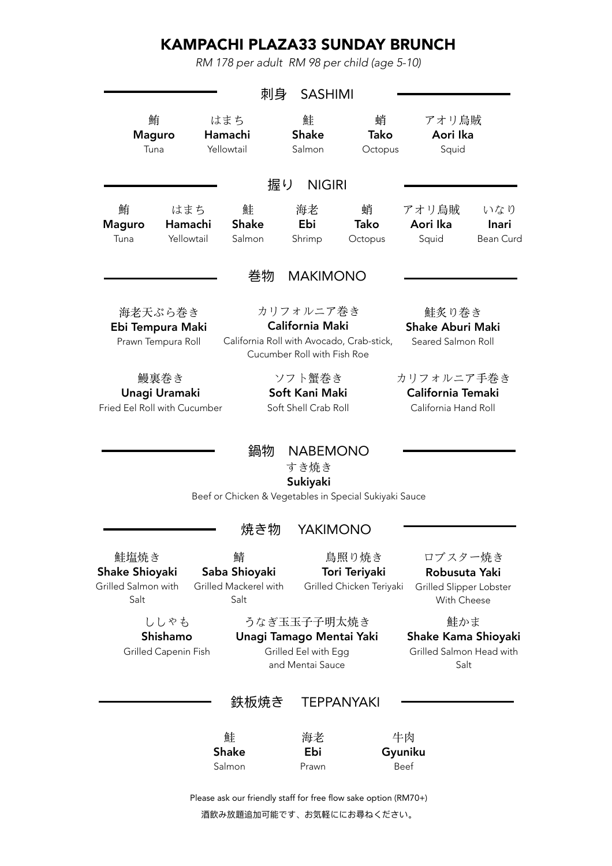# KAMPACHI PLAZA33 SUNDAY BRUNCH

*RM 178 per adult RM 98 per child (age 5-10)* 

|                                                       |                                                       | 刺身                                                           | <b>SASHIMI</b>                                                                      |                                                    |                                                                    |                                         |
|-------------------------------------------------------|-------------------------------------------------------|--------------------------------------------------------------|-------------------------------------------------------------------------------------|----------------------------------------------------|--------------------------------------------------------------------|-----------------------------------------|
|                                                       | 鮪<br><b>Maguro</b><br>Tuna                            | はまち<br>Hamachi<br>Yellowtail                                 | 鮭<br><b>Shake</b><br>Salmon                                                         | 蛸<br>Tako<br>Octopus                               | アオリ烏賊<br>Aori Ika<br>Squid                                         |                                         |
|                                                       |                                                       | 握り                                                           | <b>NIGIRI</b>                                                                       |                                                    |                                                                    |                                         |
| 鮪<br><b>Maguro</b><br>Tuna                            | はまち<br>Hamachi<br>Yellowtail                          | 鮭<br><b>Shake</b><br>Salmon                                  | 海老<br>Ebi<br>Shrimp                                                                 | 蛸<br>Tako<br>Octopus                               | アオリ烏賊<br>Aori Ika<br>Squid                                         | いなり<br><b>Inari</b><br><b>Bean Curd</b> |
|                                                       |                                                       | 巻物                                                           | <b>MAKIMONO</b>                                                                     |                                                    |                                                                    |                                         |
|                                                       | 海老天ぷら巻き<br>Ebi Tempura Maki<br>Prawn Tempura Roll     | California Roll with Avocado, Crab-stick,                    | カリフォルニア巻き<br>California Maki<br>Cucumber Roll with Fish Roe                         |                                                    | 鮭炙り巻き<br><b>Shake Aburi Maki</b><br>Seared Salmon Roll             |                                         |
|                                                       | 鰻裏巻き<br>Unagi Uramaki<br>Fried Eel Roll with Cucumber |                                                              | ソフト蟹巻き<br>Soft Kani Maki<br>Soft Shell Crab Roll                                    |                                                    | カリフォルニア手巻き<br>California Temaki<br>California Hand Roll            |                                         |
|                                                       |                                                       | 鍋物<br>Beef or Chicken & Vegetables in Special Sukiyaki Sauce | <b>NABEMONO</b><br>すき焼き<br>Sukiyaki                                                 |                                                    |                                                                    |                                         |
|                                                       |                                                       | 焼き物                                                          | <b>YAKIMONO</b>                                                                     |                                                    |                                                                    |                                         |
| 鮭塩焼き<br>Shake Shioyaki<br>Grilled Salmon with<br>Salt |                                                       | 鯖<br>Saba Shioyaki<br>Grilled Mackerel with<br>Salt          |                                                                                     | 鳥照り焼き<br>Tori Teriyaki<br>Grilled Chicken Teriyaki | ロブスター焼き<br>Robusuta Yaki<br>Grilled Slipper Lobster<br>With Cheese |                                         |
|                                                       | ししゃも<br>Shishamo<br>Grilled Capenin Fish              |                                                              | うなぎ玉玉子子明太焼き<br>Unagi Tamago Mentai Yaki<br>Grilled Eel with Egg<br>and Mentai Sauce |                                                    | 鮭かま<br>Shake Kama Shioyaki<br>Grilled Salmon Head with<br>Salt     |                                         |
|                                                       |                                                       | 处垢冲キ                                                         |                                                                                     | TEDDANWAWI                                         |                                                                    |                                         |

#### 鉄板焼き TEPPANYAKI

| 鮭            | 海老    | 牛肉      |
|--------------|-------|---------|
| <b>Shake</b> | Ebi   | Gyuniku |
| Salmon       | Prawn | Beef    |

Please ask our friendly staff for free flow sake option (RM70+) 酒飲み放題追加可能です、お気軽ににお尋ねください。